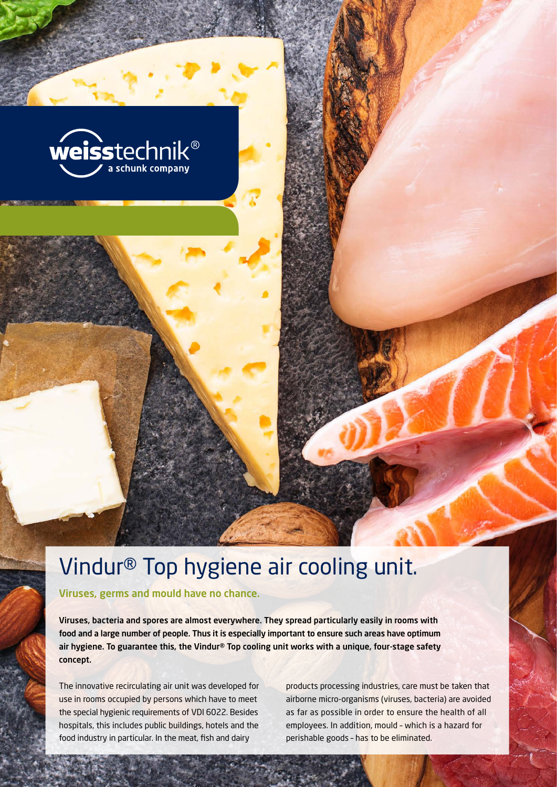

# Vindur® Top hygiene air cooling unit.

Viruses, germs and mould have no chance.

Viruses, bacteria and spores are almost everywhere. They spread particularly easily in rooms with food and a large number of people. Thus it is especially important to ensure such areas have optimum air hygiene. To guarantee this, the Vindur® Top cooling unit works with a unique, four-stage safety concept.

The innovative recirculating air unit was developed for use in rooms occupied by persons which have to meet the special hygienic requirements of VDI 6022. Besides hospitals, this includes public buildings, hotels and the food industry in particular. In the meat, fish and dairy

products processing industries, care must be taken that airborne micro-organisms (viruses, bacteria) are avoided as far as possible in order to ensure the health of all employees. In addition, mould – which is a hazard for perishable goods – has to be eliminated.